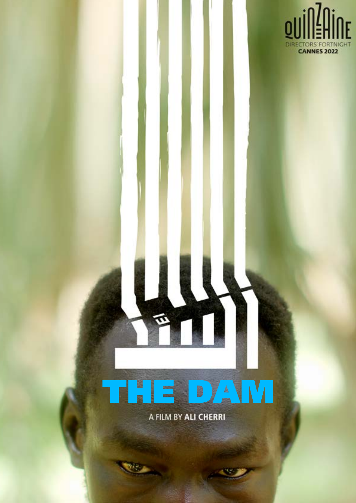

# THE DAM

A FILM BY ALI CHERRI

PLAYGROUND COMPANY

**"UN MONDES**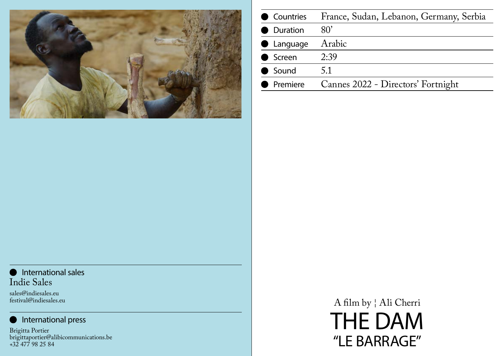## **International sales** Indie Sales

sales@indiesales.eu festival@indiesales.eu

## International press

Brigitta Portier brigittaportier@alibicommunications.be +32 477 98 25 84



| Countries<br>u.         | France, Sudan, |
|-------------------------|----------------|
| <b>Duration</b>         | $80^\circ$     |
| Language<br>$\bullet$   | Arabic         |
| ● Screen                | 2:39           |
| Sound<br>$\blacksquare$ | 5.1            |
| Premiere                | Cannes 2022 -  |

A film by ¦ Ali Cherri THE DAM "LE BARRAGE"

# Lebanon, Germany, Serbia

# Directors' Fortnight

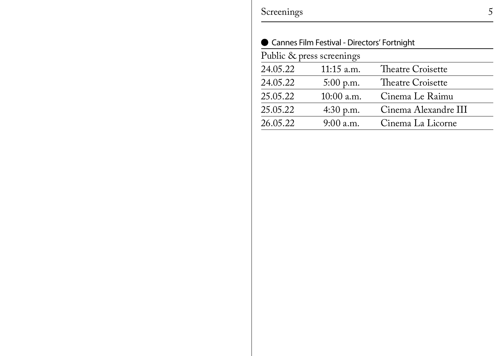Screenings 5

|          | ● Cannes Film Festival - Directors |
|----------|------------------------------------|
|          | Public & press screenings          |
| 24.05.22 | 11:15 a.m.                         |
| 24.05.22 | 5:00 p.m.                          |
| 25.05.22 | 10:00 a.m.                         |
| 25.05.22 | 4:30 p.m.                          |
| 26.05.22 | $9:00$ a.m.                        |

# s' Fortnight

Theatre Croisette Theatre Croisette Cinema Le Raimu Cinema Alexandre III Cinema La Licorne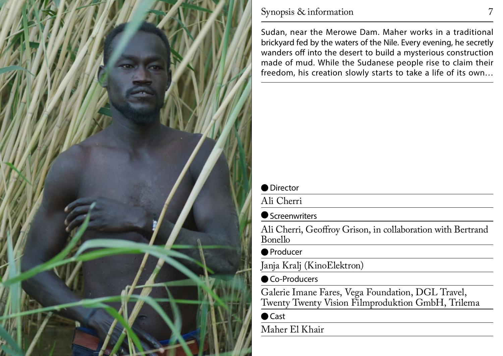

# Synopsis & information 7

Sudan, near the Merowe Dam. Maher works in a traditional brickyard fed by the waters of the Nile. Every evening, he secretly wanders off into the desert to build a mysterious construction made of mud. While the Sudanese people rise to claim their freedom, his creation slowly starts to take a life of its own…

| • Director          |                                                               |
|---------------------|---------------------------------------------------------------|
|                     |                                                               |
| Ali Cherri          |                                                               |
| ● Screenwriters     |                                                               |
| <b>Bonello</b>      | Ali Cherri, Geoffroy Grison, in                               |
| ■ Producer          |                                                               |
|                     | Janja Kralj (KinoElektron)                                    |
| ■ Co-Producers      |                                                               |
|                     | Galerie Imane Fares, Vega Fou<br>Twenty Twenty Vision Filmpro |
| $\blacksquare$ Cast |                                                               |
| Maher El Khair      |                                                               |
|                     |                                                               |

## collaboration with Bertrand

# Indation, DGL Travel, oduktion GmbH, Trilema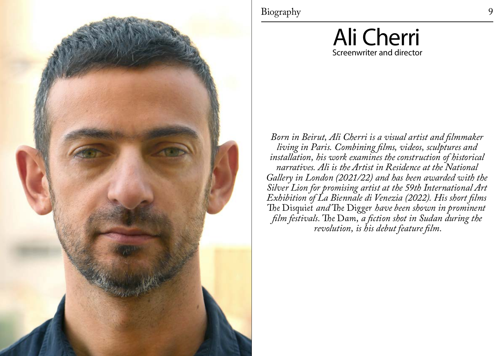

Biography 9

# Ali Cherri Screenwriter and director

*Born in Beirut, Ali Cherri is a visual artist and filmmaker living in Paris. Combining films, videos, sculptures and installation, his work examines the construction of historical narratives. Ali is the Artist in Residence at the National Gallery in London (2021/22) and has been awarded with the Silver Lion for promising artist at the 59th International Art Exhibition of La Biennale di Venezia (2022). His short films The Disquiet and The Digger have been shown in prominent film festivals. The Dam, a fiction shot in Sudan during the revolution, is his debut feature film.*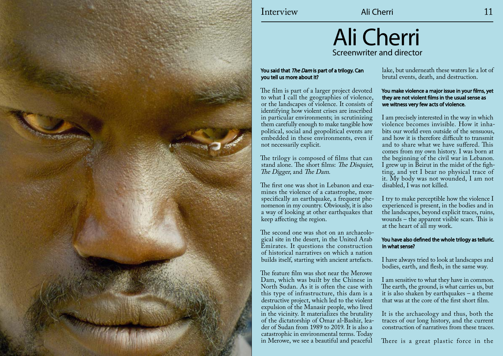

# Interview Ali Cherri 11

# Ali Cherri Screenwriter and director

## You said that The Dam is part of a trilogy. Can you tell us more about it?

The film is part of a larger project devoted to what I call the geographies of violence, or the landscapes of violence. It consists of identifying how violent crises are inscribed in particular environments; in scrutinizing them carefully enough to make tangible how political, social and geopolitical events are embedded in these environments, even if not necessarily explicit.

The trilogy is composed of films that can stand alone. The short films: The Disquiet, The Digger, and The Dam.

The first one was shot in Lebanon and examines the violence of a catastrophe, more specifically an earthquake, a frequent phenomenon in my country. Obviously, it is also a way of looking at other earthquakes that keep affecting the region.

The second one was shot on an archaeological site in the desert, in the United Arab Emirates. It questions the construction of historical narratives on which a nation builds itself, starting with ancient artefacts.

The feature film was shot near the Merowe Dam, which was built by the Chinese in North Sudan. As it is often the case with this type of infrastructure, this dam is a destructive project, which led to the violent expulsion of the Manasir people, who lived in the vicinity. It materializes the brutality of the dictatorship of Omar al-Bashir, leader of Sudan from 1989 to 2019. It is also a catastrophic in environmental terms. Today in Merowe, we see a beautiful and peaceful

lake, but underneath these waters lie a lot of brutal events, death, and destruction.

#### You make violence a major issue in your films, yet they are not violent films in the usual sense as we witness very few acts of violence.

I am precisely interested in the way in which violence becomes invisible. How it inhabits our world even outside of the sensuous, and how it is therefore difficult to transmit and to share what we have suffered. This comes from my own history. I was born at the beginning of the civil war in Lebanon. I grew up in Beirut in the midst of the fighting, and yet I bear no physical trace of it. My body was not wounded, I am not disabled, I was not killed.

I try to make perceptible how the violence I experienced is present, in the bodies and in the landscapes, beyond explicit traces, ruins, wounds – the apparent visible scars. This is at the heart of all my work.

### You have also defined the whole trilogy as telluric. In what sense?

I have always tried to look at landscapes and bodies, earth, and flesh, in the same way.

I am sensitive to what they have in common. The earth, the ground, is what carries us, but it is also shaken by earthquakes – a theme that was at the core of the first short film.

It is the archaeology and thus, both the traces of our long history, and the current construction of narratives from these traces.

There is a great plastic force in the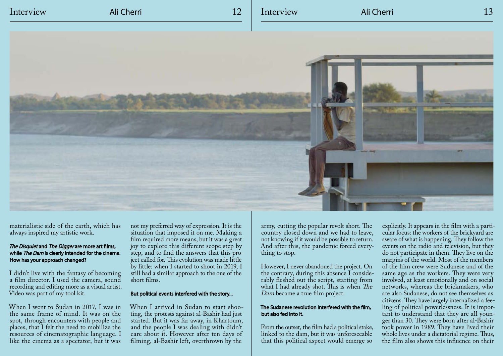# Interview Ali Cherri 12 Interview Ali Cherri 13



materialistic side of the earth, which has always inspired my artistic work.

## The Disquiet and The Digger are more art films, while The Dam is clearly intended for the cinema. How has your approach changed?

I didn't live with the fantasy of becoming a film director. I used the camera, sound recording and editing more as a visual artist. Video was part of my tool kit.

When I went to Sudan in 2017, I was in the same frame of mind. It was on the spot, through encounters with people and places, that I felt the need to mobilize the resources of cinematographic language. I like the cinema as a spectator, but it was

not my preferred way of expression. It is the situation that imposed it on me. Making a film required more means, but it was a great joy to explore this different scope step by step, and to find the answers that this project called for. This evolution was made little by little: when I started to shoot in 2019, I still had a similar approach to the one of the short films.

### But political events interfered with the story...

When I arrived in Sudan to start shooting, the protests against al-Bashir had just started. But it was far away, in Khartoum, and the people I was dealing with didn't care about it. However after ten days of filming, al-Bashir left, overthrown by the

army, cutting the popular revolt short. The country closed down and we had to leave, not knowing if it would be possible to return. And after this, the pandemic forced everything to stop.

However, I never abandoned the project. On the contrary, during this absence I considerably fleshed out the script, starting from what I had already shot. This is when The Dam became a true film project.

### The Sudanese revolution interfered with the film, but also fed into it.

From the outset, the film had a political stake, linked to the dam, but it was unforeseeable that this political aspect would emerge so

explicitly. It appears in the film with a particular focus: the workers of the brickyard are aware of what is happening. They follow the events on the radio and television, but they do not participate in them. They live on the margins of the world. Most of the members of the film crew were Sudanese and of the same age as the workers. They were very involved, at least emotionally and on social networks, whereas the brickmakers, who are also Sudanese, do not see themselves as citizens. They have largely internalized a feeling of political powerlessness. It is important to understand that they are all younger than 30. They were born after al-Bashir took power in 1989. They have lived their whole lives under a dictatorial regime. Thus, the film also shows this influence on their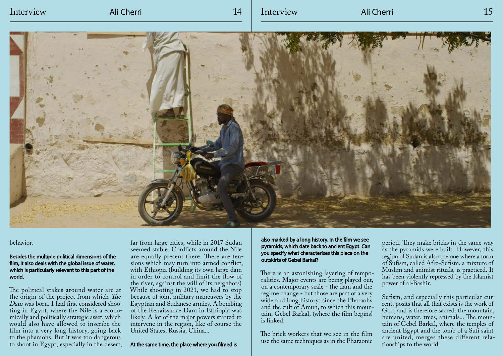# Interview Ali Cherri 14 Interview Ali Cherri 15



#### behavior.

#### Besides the multiple political dimensions of the film, it also deals with the global issue of water, which is particularly relevant to this part of the world.

The political stakes around water are at the origin of the project from which The Dam was born. I had first considered shooting in Egypt, where the Nile is a economically and politically strategic asset, which would also have allowed to inscribe the film into a very long history, going back to the pharaohs. But it was too dangerous to shoot in Egypt, especially in the desert,

far from large cities, while in 2017 Sudan seemed stable. Conflicts around the Nile are equally present there. There are tensions which may turn into armed conflict, with Ethiopia (building its own large dam in order to control and limit the flow of the river, against the will of its neighbors). While shooting in 2021, we had to stop because of joint military maneuvers by the Egyptian and Sudanese armies. A bombing of the Renaissance Dam in Ethiopia was likely. A lot of the major powers started to intervene in the region, like of course the United States, Russia, China...

At the same time, the place where you filmed is

also marked by a long history. In the film we see pyramids, which date back to ancient Egypt. Can you specify what characterizes this place on the outskirts of Gebel Barkal?

There is an astonishing layering of temporalities. Major events are being played out, on a contemporary scale - the dam and the regime change - but those are part of a very wide and long history: since the Pharaohs and the cult of Amun, to which this mountain, Gebel Barkal, (where the film begins) is linked.

The brick workers that we see in the film use the same techniques as in the Pharaonic

period. They make bricks in the same way as the pyramids were built. However, this region of Sudan is also the one where a form of Sufism, called Afro-Sufism, a mixture of Muslim and animist rituals, is practiced. It has been violently repressed by the Islamist power of al-Bashir.

Sufism, and especially this particular current, posits that all that exists is the work of God, and is therefore sacred: the mountain, humans, water, trees, animals... The mountain of Gebel Barkal, where the temples of ancient Egypt and the tomb of a Sufi saint are united, merges these different relationships to the world.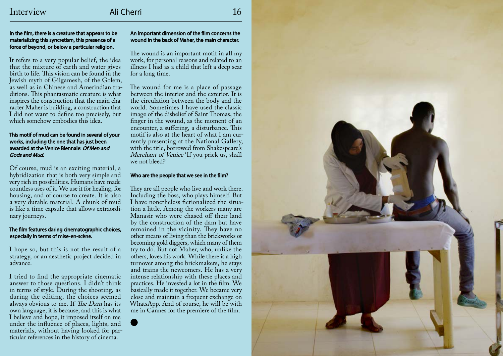It refers to a very popular belief, the idea that the mixture of earth and water gives birth to life. This vision can be found in the Jewish myth of Gilgamesh, of the Golem, as well as in Chinese and Amerindian traditions. This phantasmatic creature is what inspires the construction that the main character Maher is building, a construction that I did not want to define too precisely, but which somehow embodies this idea.

#### In the film, there is a creature that appears to be materializing this syncretism, this presence of a force of beyond, or below a particular religion.

### This motif of mud can be found in several of your works, including the one that has just been awarded at the Venice Biennale: Of Men and Gods and Mud.

Of course, mud is an exciting material, a hybridization that is both very simple and very rich in possibilities. Humans have made countless uses of it. We use it for healing, for housing, and of course to create. It is also a very durable material. A chunk of mud is like a time capsule that allows extraordinary journeys.

#### The film features daring cinematographic choices, especially in terms of mise-en-scène.

I hope so, but this is not the result of a strategy, or an aesthetic project decided in advance.

I tried to find the appropriate cinematic answer to those questions. I didn't think in terms of style. During the shooting, as during the editing, the choices seemed always obvious to me. If The Dam has its own language, it is because, and this is what I believe and hope, it imposed itself on me under the influence of places, lights, and materials, without having looked for particular references in the history of cinema.

## An important dimension of the film concerns the wound in the back of Maher, the main character.

The wound is an important motif in all my work, for personal reasons and related to an illness I had as a child that left a deep scar for a long time.

The wound for me is a place of passage between the interior and the exterior. It is the circulation between the body and the world. Sometimes I have used the classic image of the disbelief of Saint Thomas, the finger in the wound, as the moment of an encounter, a suffering, a disturbance. This motif is also at the heart of what I am currently presenting at the National Gallery, with the title, borrowed from Shakespeare's Merchant of Venice 'If you prick us, shall we not bleed?'

## Who are the people that we see in the film?

They are all people who live and work there. Including the boss, who plays himself. But I have nonetheless fictionalized the situation a little. Among the workers many are Manasir who were chased off their land by the construction of the dam but have remained in the vicinity. They have no other means of living than the brickworks or becoming gold diggers, which many of them try to do. But not Maher, who, unlike the others, loves his work. While there is a high turnover among the brickmakers, he stays and trains the newcomers. He has a very intense relationship with these places and practices. He invested a lot in the film. We basically made it together. We became very close and maintain a frequent exchange on WhatsApp. And of course, he will be with me in Cannes for the premiere of the film.



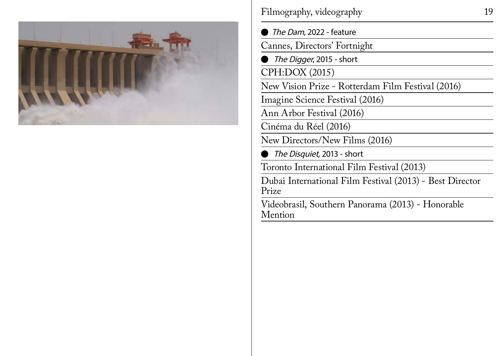

Filmography, videography 19

The Dam, 2022 - feature Cannes, Directors' Fortnight The Digger, 2015 - short CPH:DOX (2015) New Vision Prize - Rotterdam Film Festival (2016) Imagine Science Festival (2016) Ann Arbor Festival (2016) Cinéma du Réel (2016) New Directors/New Films (2016) The Disquiet, 2013 - short Toronto International Film Festival (2013) Dubai International Film Festival (2013) - Best Director Prize

Videobrasil, Southern Panorama (2013) - Honorable Mention